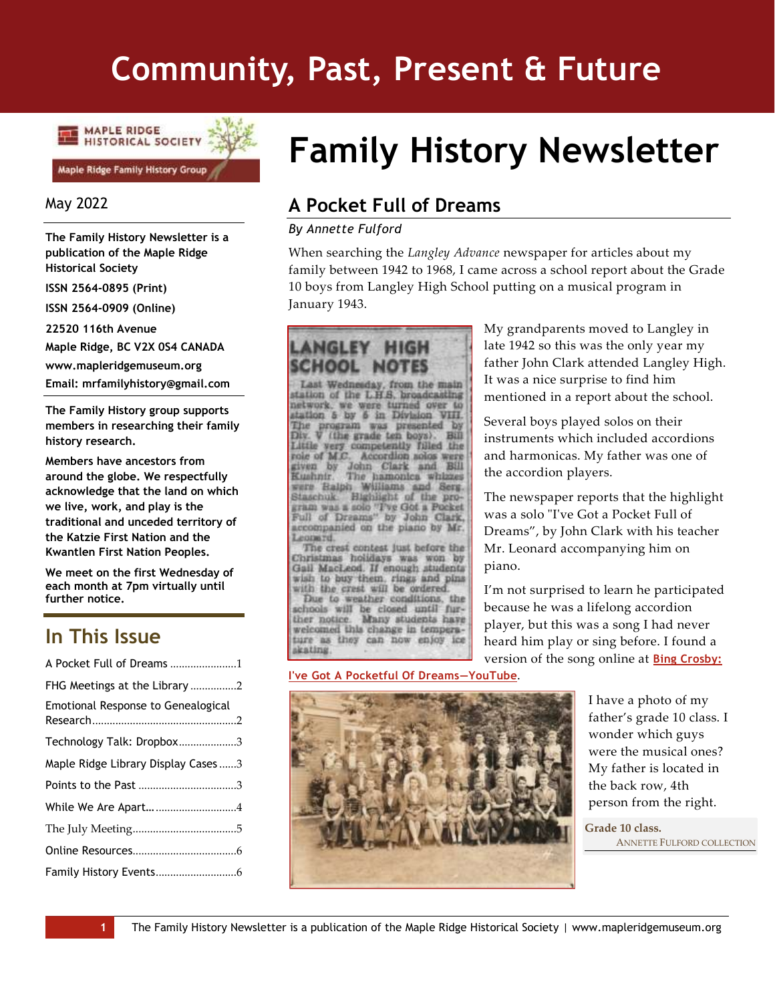# **Community, Past, Present & Future**



## May 2022

**The Family History Newsletter is a publication of the Maple Ridge Historical Society**

**ISSN 2564-0895 (Print)**

**ISSN 2564-0909 (Online)**

**22520 116th Avenue**

**Maple Ridge, BC V2X 0S4 CANADA**

**www.mapleridgemuseum.org**

**Email: mrfamilyhistory@gmail.com**

**The Family History group supports members in researching their family history research.** 

**Members have ancestors from around the globe. We respectfully acknowledge that the land on which we live, work, and play is the traditional and unceded territory of the Katzie First Nation and the Kwantlen First Nation Peoples.**

**We meet on the first Wednesday of each month at 7pm virtually until further notice.**

# **In This Issue**

| A Pocket Full of Dreams 1           |
|-------------------------------------|
|                                     |
| Emotional Response to Genealogical  |
| Technology Talk: Dropbox3           |
| Maple Ridge Library Display Cases 3 |
|                                     |
|                                     |
|                                     |
|                                     |
|                                     |
|                                     |

# **Family History Newsletter**

# <span id="page-0-0"></span>**A Pocket Full of Dreams**

#### *By Annette Fulford*

When searching the *Langley Advance* newspaper for articles about my family between 1942 to 1968, I came across a school report about the Grade 10 boys from Langley High School putting on a musical program in January 1943.



**[I've Got A Pocketful Of Dreams](https://www.youtube.com/watch?v=bTFWa92a8GE)—YouTube**.

My grandparents moved to Langley in late 1942 so this was the only year my father John Clark attended Langley High. It was a nice surprise to find him mentioned in a report about the school.

Several boys played solos on their instruments which included accordions and harmonicas. My father was one of the accordion players.

The newspaper reports that the highlight was a solo "I've Got a Pocket Full of Dreams", by John Clark with his teacher Mr. Leonard accompanying him on piano.

I'm not surprised to learn he participated because he was a lifelong accordion player, but this was a song I had never heard him play or sing before. I found a version of the song online at **[Bing Crosby:](https://www.youtube.com/watch?v=bTFWa92a8GE)** 



I have a photo of my father's grade 10 class. I wonder which guys were the musical ones? My father is located in the back row, 4th person from the right.

**Grade 10 class.** ANNETTE FULFORD COLLECTION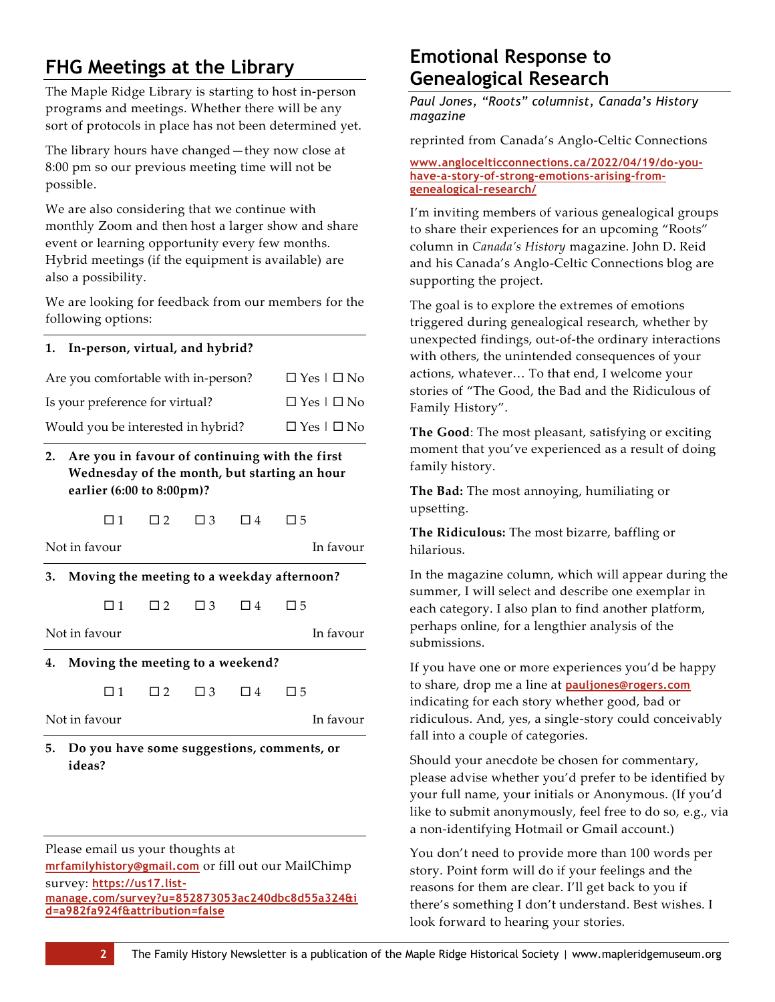# <span id="page-1-0"></span>**FHG Meetings at the Library**

The Maple Ridge Library is starting to host in-person programs and meetings. Whether there will be any sort of protocols in place has not been determined yet.

The library hours have changed—they now close at 8:00 pm so our previous meeting time will not be possible.

We are also considering that we continue with monthly Zoom and then host a larger show and share event or learning opportunity every few months. Hybrid meetings (if the equipment is available) are also a possibility.

We are looking for feedback from our members for the following options:

#### **1. In-person, virtual, and hybrid?**

| Are you comfortable with in-person? | $\Box$ Yes $\Box$ No |
|-------------------------------------|----------------------|
| Is your preference for virtual?     | $\Box$ Yes $\Box$ No |
| Would you be interested in hybrid?  | $\Box$ Yes $\Box$ No |

## **2. Are you in favour of continuing with the first Wednesday of the month, but starting an hour earlier (6:00 to 8:00pm)?**

 $\square$  1  $\square$  2  $\square$  3  $\square$  4  $\square$  5

Not in favour In favour

**3. Moving the meeting to a weekday afternoon?**

 $\Box$  1  $\Box$  2  $\Box$  3  $\Box$  4  $\Box$  5

Not in favour In favour

**4. Moving the meeting to a weekend?**

| $\sim$ | -<br>4<br>h,<br>ำ |
|--------|-------------------|
|--------|-------------------|

Not in favour In favour

**5. Do you have some suggestions, comments, or ideas?**

Please email us your thoughts at **[mrfamilyhistory@gmail.com](mailto:mrfamilyhistory@gmail.com)** or fill out our MailChimp survey: **[https://us17.list](https://us17.list-manage.com/survey?u=852873053ac240dbc8d55a324&id=a982fa924f&attribution=false)[manage.com/survey?u=852873053ac240dbc8d55a324&i](https://us17.list-manage.com/survey?u=852873053ac240dbc8d55a324&id=a982fa924f&attribution=false) [d=a982fa924f&attribution=false](https://us17.list-manage.com/survey?u=852873053ac240dbc8d55a324&id=a982fa924f&attribution=false)**

# <span id="page-1-1"></span>**Emotional Response to Genealogical Research**

*Paul Jones, "Roots" columnist, Canada's History magazine*

reprinted from Canada's Anglo-Celtic Connections

**[www.anglocelticconnections.ca/2022/04/19/do-you](https://www.anglocelticconnections.ca/2022/04/19/do-you-have-a-story-of-strong-emotions-arising-from-genealogical-research/)[have-a-story-of-strong-emotions-arising-from](https://www.anglocelticconnections.ca/2022/04/19/do-you-have-a-story-of-strong-emotions-arising-from-genealogical-research/)[genealogical-research/](https://www.anglocelticconnections.ca/2022/04/19/do-you-have-a-story-of-strong-emotions-arising-from-genealogical-research/)**

I'm inviting members of various genealogical groups to share their experiences for an upcoming "Roots" column in *Canada's History* magazine. John D. Reid and his Canada's Anglo-Celtic Connections blog are supporting the project.

The goal is to explore the extremes of emotions triggered during genealogical research, whether by unexpected findings, out-of-the ordinary interactions with others, the unintended consequences of your actions, whatever… To that end, I welcome your stories of "The Good, the Bad and the Ridiculous of Family History".

**The Good**: The most pleasant, satisfying or exciting moment that you've experienced as a result of doing family history.

**The Bad:** The most annoying, humiliating or upsetting.

**The Ridiculous:** The most bizarre, baffling or hilarious.

In the magazine column, which will appear during the summer, I will select and describe one exemplar in each category. I also plan to find another platform, perhaps online, for a lengthier analysis of the submissions.

If you have one or more experiences you'd be happy to share, drop me a line at **[pauljones@rogers.com](mailto:pauljones@rogers.com?subject=Emotional%20Response%20to%20Genealogical%20Research)** indicating for each story whether good, bad or ridiculous. And, yes, a single-story could conceivably fall into a couple of categories.

Should your anecdote be chosen for commentary, please advise whether you'd prefer to be identified by your full name, your initials or Anonymous. (If you'd like to submit anonymously, feel free to do so, e.g., via a non-identifying Hotmail or Gmail account.)

You don't need to provide more than 100 words per story. Point form will do if your feelings and the reasons for them are clear. I'll get back to you if there's something I don't understand. Best wishes. I look forward to hearing your stories.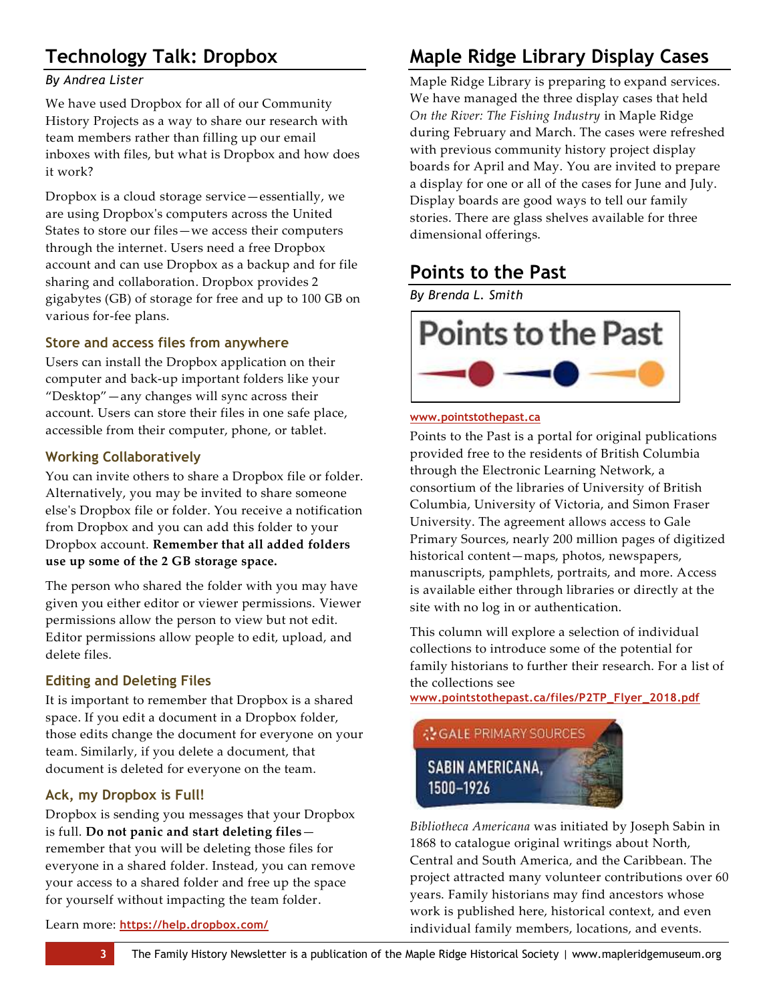# <span id="page-2-0"></span>**Technology Talk: Dropbox**

# *By Andrea Lister*

We have used Dropbox for all of our Community History Projects as a way to share our research with team members rather than filling up our email inboxes with files, but what is Dropbox and how does it work?

Dropbox is a cloud storage service—essentially, we are using Dropbox's computers across the United States to store our files—we access their computers through the internet. Users need a free Dropbox account and can use Dropbox as a backup and for file sharing and collaboration. Dropbox provides 2 gigabytes (GB) of storage for free and up to 100 GB on various for-fee plans.

# **Store and access files from anywhere**

Users can install the Dropbox application on their computer and back-up important folders like your "Desktop"—any changes will sync across their account. Users can store their files in one safe place, accessible from their computer, phone, or tablet.

# **Working Collaboratively**

You can invite others to share a Dropbox file or folder. Alternatively, you may be invited to share someone else's Dropbox file or folder. You receive a notification from Dropbox and you can add this folder to your Dropbox account. **Remember that all added folders use up some of the 2 GB storage space.**

The person who shared the folder with you may have given you either editor or viewer permissions. Viewer permissions allow the person to view but not edit. Editor permissions allow people to edit, upload, and delete files.

# **Editing and Deleting Files**

It is important to remember that Dropbox is a shared space. If you edit a document in a Dropbox folder, those edits change the document for everyone on your team. Similarly, if you delete a document, that document is deleted for everyone on the team.

## **Ack, my Dropbox is Full!**

Dropbox is sending you messages that your Dropbox is full. **Do not panic and start deleting files** remember that you will be deleting those files for everyone in a shared folder. Instead, you can remove your access to a shared folder and free up the space for yourself without impacting the team folder.

#### Learn more: **<https://help.dropbox.com/>**

# <span id="page-2-1"></span>**Maple Ridge Library Display Cases**

Maple Ridge Library is preparing to expand services. We have managed the three display cases that held *On the River: The Fishing Industry* in Maple Ridge during February and March. The cases were refreshed with previous community history project display boards for April and May. You are invited to prepare a display for one or all of the cases for June and July. Display boards are good ways to tell our family stories. There are glass shelves available for three dimensional offerings.

# <span id="page-2-2"></span>**Points to the Past**

*By Brenda L. Smith*



#### **[www.pointstothepast.ca](http://www.pointstothepast.ca/)**

Points to the Past is a portal for original publications provided free to the residents of British Columbia through the Electronic Learning Network, a consortium of the libraries of University of British Columbia, University of Victoria, and Simon Fraser University. The agreement allows access to Gale Primary Sources, nearly 200 million pages of digitized historical content—maps, photos, newspapers, manuscripts, pamphlets, portraits, and more. Access is available either through libraries or directly at the site with no log in or authentication.

This column will explore a selection of individual collections to introduce some of the potential for family historians to further their research. For a list of the collections see

**[www.pointstothepast.ca/files/P2TP\\_Flyer\\_2018.pdf](http://www.pointstothepast.ca/files/P2TP_Flyer_2018.pdf)**



*Bibliotheca Americana* was initiated by Joseph Sabin in 1868 to catalogue original writings about North, Central and South America, and the Caribbean. The project attracted many volunteer contributions over 60 years. Family historians may find ancestors whose work is published here, historical context, and even individual family members, locations, and events.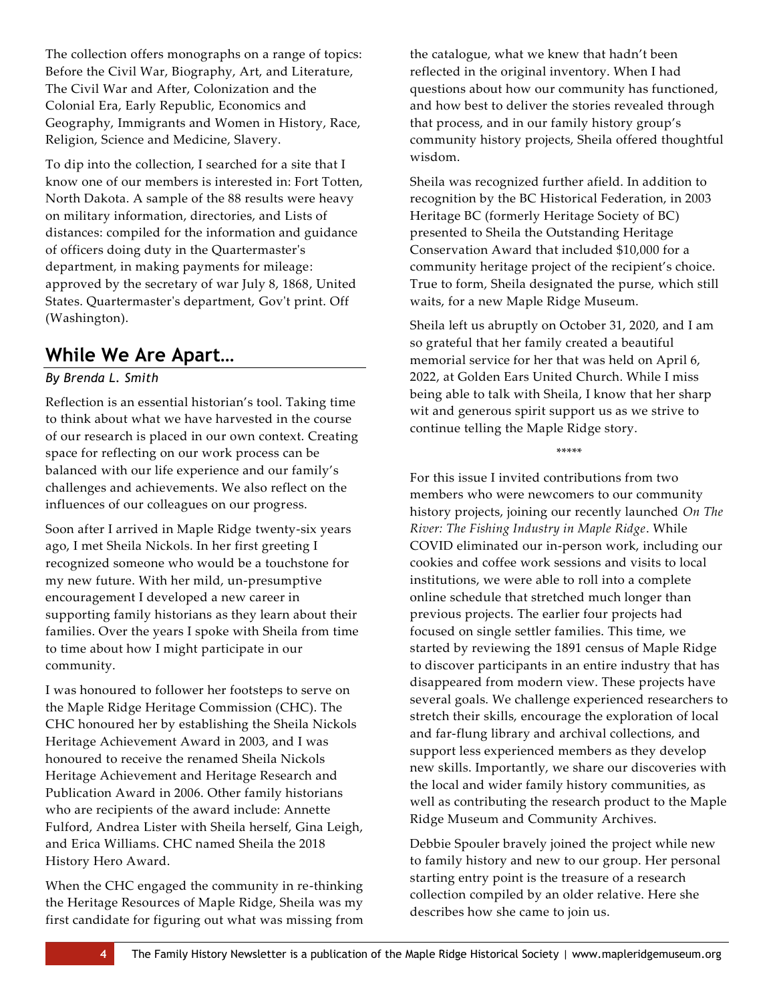The collection offers monographs on a range of topics: Before the Civil War, Biography, Art, and Literature, The Civil War and After, Colonization and the Colonial Era, Early Republic, Economics and Geography, Immigrants and Women in History, Race, Religion, Science and Medicine, Slavery.

To dip into the collection, I searched for a site that I know one of our members is interested in: Fort Totten, North Dakota. A sample of the 88 results were heavy on military information, directories, and Lists of distances: compiled for the information and guidance of officers doing duty in the Quartermaster's department, in making payments for mileage: approved by the secretary of war July 8, 1868, United States. Quartermaster's department, Gov't print. Off (Washington).

# <span id="page-3-0"></span>**While We Are Apart…**

## *By Brenda L. Smith*

Reflection is an essential historian's tool. Taking time to think about what we have harvested in the course of our research is placed in our own context. Creating space for reflecting on our work process can be balanced with our life experience and our family's challenges and achievements. We also reflect on the influences of our colleagues on our progress.

Soon after I arrived in Maple Ridge twenty-six years ago, I met Sheila Nickols. In her first greeting I recognized someone who would be a touchstone for my new future. With her mild, un-presumptive encouragement I developed a new career in supporting family historians as they learn about their families. Over the years I spoke with Sheila from time to time about how I might participate in our community.

I was honoured to follower her footsteps to serve on the Maple Ridge Heritage Commission (CHC). The CHC honoured her by establishing the Sheila Nickols Heritage Achievement Award in 2003, and I was honoured to receive the renamed Sheila Nickols Heritage Achievement and Heritage Research and Publication Award in 2006. Other family historians who are recipients of the award include: Annette Fulford, Andrea Lister with Sheila herself, Gina Leigh, and Erica Williams. CHC named Sheila the 2018 History Hero Award.

When the CHC engaged the community in re-thinking the Heritage Resources of Maple Ridge, Sheila was my first candidate for figuring out what was missing from the catalogue, what we knew that hadn't been reflected in the original inventory. When I had questions about how our community has functioned, and how best to deliver the stories revealed through that process, and in our family history group's community history projects, Sheila offered thoughtful wisdom.

Sheila was recognized further afield. In addition to recognition by the BC Historical Federation, in 2003 Heritage BC (formerly Heritage Society of BC) presented to Sheila the Outstanding Heritage Conservation Award that included \$10,000 for a community heritage project of the recipient's choice. True to form, Sheila designated the purse, which still waits, for a new Maple Ridge Museum.

Sheila left us abruptly on October 31, 2020, and I am so grateful that her family created a beautiful memorial service for her that was held on April 6, 2022, at Golden Ears United Church. While I miss being able to talk with Sheila, I know that her sharp wit and generous spirit support us as we strive to continue telling the Maple Ridge story.

\*\*\*\*\*

For this issue I invited contributions from two members who were newcomers to our community history projects, joining our recently launched *On The River: The Fishing Industry in Maple Ridge*. While COVID eliminated our in-person work, including our cookies and coffee work sessions and visits to local institutions, we were able to roll into a complete online schedule that stretched much longer than previous projects. The earlier four projects had focused on single settler families. This time, we started by reviewing the 1891 census of Maple Ridge to discover participants in an entire industry that has disappeared from modern view. These projects have several goals. We challenge experienced researchers to stretch their skills, encourage the exploration of local and far-flung library and archival collections, and support less experienced members as they develop new skills. Importantly, we share our discoveries with the local and wider family history communities, as well as contributing the research product to the Maple Ridge Museum and Community Archives.

Debbie Spouler bravely joined the project while new to family history and new to our group. Her personal starting entry point is the treasure of a research collection compiled by an older relative. Here she describes how she came to join us.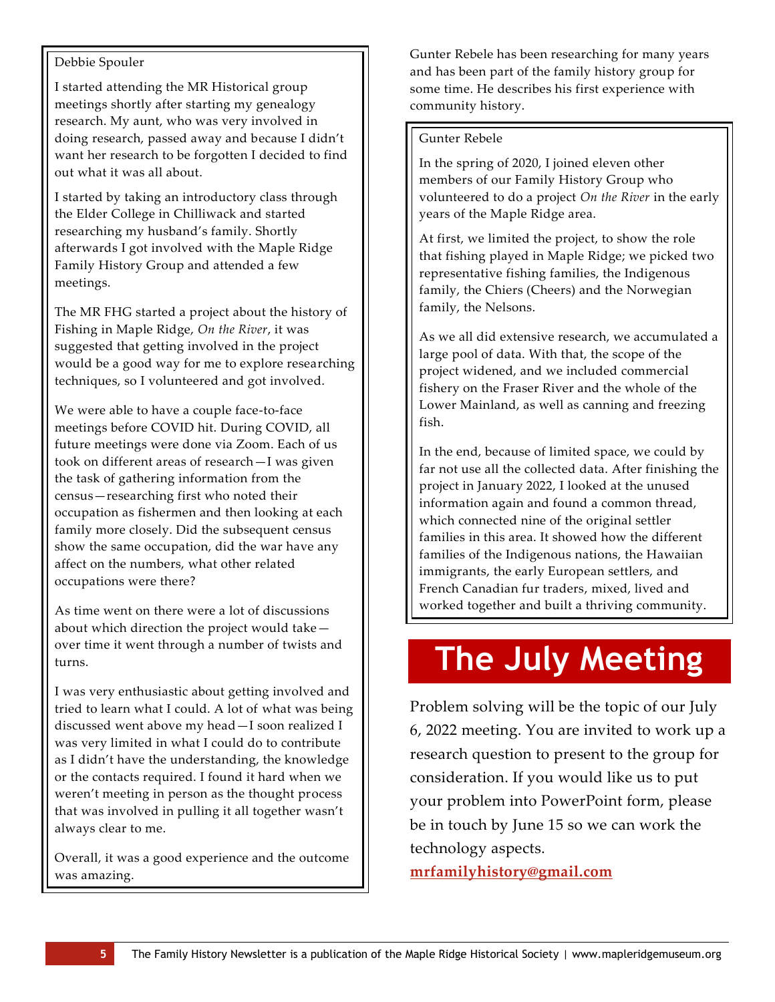## Debbie Spouler

I started attending the MR Historical group meetings shortly after starting my genealogy research. My aunt, who was very involved in doing research, passed away and because I didn't want her research to be forgotten I decided to find out what it was all about.

I started by taking an introductory class through the Elder College in Chilliwack and started researching my husband's family. Shortly afterwards I got involved with the Maple Ridge Family History Group and attended a few meetings.

The MR FHG started a project about the history of Fishing in Maple Ridge, *On the River*, it was suggested that getting involved in the project would be a good way for me to explore researching techniques, so I volunteered and got involved.

We were able to have a couple face-to-face meetings before COVID hit. During COVID, all future meetings were done via Zoom. Each of us took on different areas of research—I was given the task of gathering information from the census—researching first who noted their occupation as fishermen and then looking at each family more closely. Did the subsequent census show the same occupation, did the war have any affect on the numbers, what other related occupations were there?

As time went on there were a lot of discussions about which direction the project would take over time it went through a number of twists and turns.

I was very enthusiastic about getting involved and tried to learn what I could. A lot of what was being discussed went above my head—I soon realized I was very limited in what I could do to contribute as I didn't have the understanding, the knowledge or the contacts required. I found it hard when we weren't meeting in person as the thought process that was involved in pulling it all together wasn't always clear to me.

Overall, it was a good experience and the outcome was amazing.

Gunter Rebele has been researching for many years and has been part of the family history group for some time. He describes his first experience with community history.

#### Gunter Rebele

In the spring of 2020, I joined eleven other members of our Family History Group who volunteered to do a project *On the River* in the early years of the Maple Ridge area.

At first, we limited the project, to show the role that fishing played in Maple Ridge; we picked two representative fishing families, the Indigenous family, the Chiers (Cheers) and the Norwegian family, the Nelsons.

As we all did extensive research, we accumulated a large pool of data. With that, the scope of the project widened, and we included commercial fishery on the Fraser River and the whole of the Lower Mainland, as well as canning and freezing fish.

In the end, because of limited space, we could by far not use all the collected data. After finishing the project in January 2022, I looked at the unused information again and found a common thread, which connected nine of the original settler families in this area. It showed how the different families of the Indigenous nations, the Hawaiian immigrants, the early European settlers, and French Canadian fur traders, mixed, lived and worked together and built a thriving community.

# **The July Meeting**

Problem solving will be the topic of our July 6, 2022 meeting. You are invited to work up a research question to present to the group for consideration. If you would like us to put your problem into PowerPoint form, please be in touch by June 15 so we can work the technology aspects.

**[mrfamilyhistory@gmail.com](mailto:mrfamilyhistory@gmail.com)**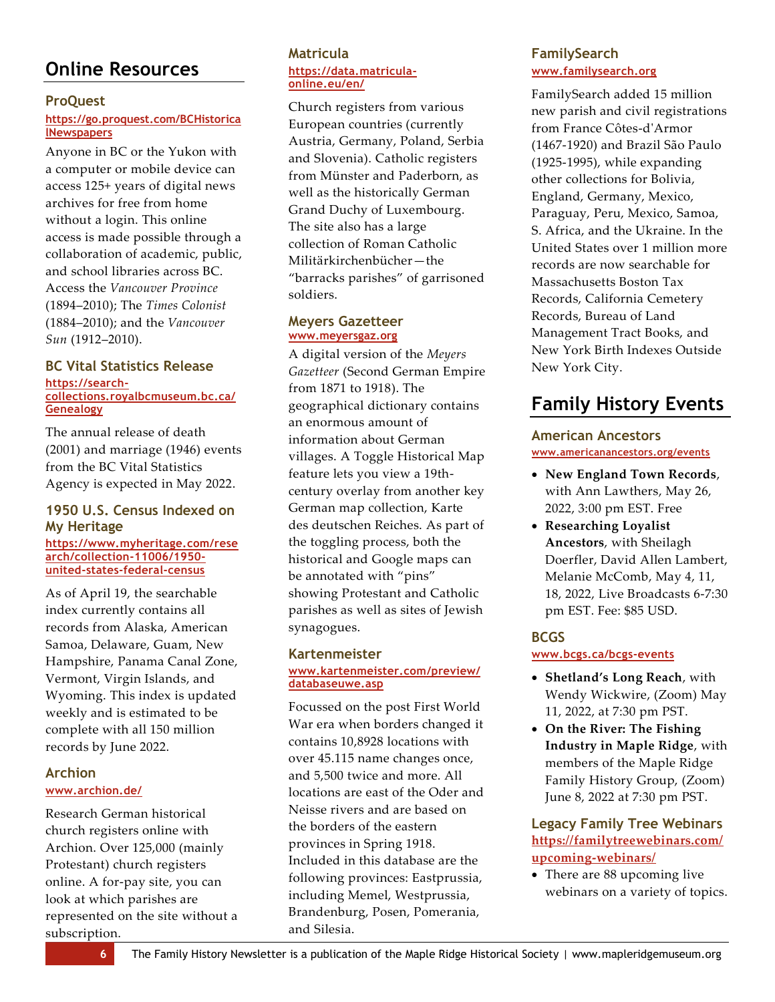# <span id="page-5-0"></span>**Online Resources**

### **ProQuest**

### **[https://go.proquest.com/BCHistorica](https://go.proquest.com/BCHistoricalNewspapers) [lNewspapers](https://go.proquest.com/BCHistoricalNewspapers)**

Anyone in BC or the Yukon with a computer or mobile device can access 125+ years of digital news archives for free from home without a login. This online access is made possible through a collaboration of academic, public, and school libraries across BC. Access the *Vancouver Province* (1894–2010); The *Times Colonist* (1884–2010); and the *Vancouver Sun* (1912–2010).

#### **BC Vital Statistics Release [https://search](https://search-collections.royalbcmuseum.bc.ca/Genealogy)[collections.royalbcmuseum.bc.ca/](https://search-collections.royalbcmuseum.bc.ca/Genealogy) [Genealogy](https://search-collections.royalbcmuseum.bc.ca/Genealogy)**

The annual release of death (2001) and marriage (1946) events from the BC Vital Statistics Agency is expected in May 2022.

## **1950 U.S. Census Indexed on My Heritage**

#### **[https://www.myheritage.com/rese](https://www.myheritage.com/research/collection-11006/1950-united-states-federal-census) [arch/collection-11006/1950](https://www.myheritage.com/research/collection-11006/1950-united-states-federal-census) [united-states-federal-census](https://www.myheritage.com/research/collection-11006/1950-united-states-federal-census)**

As of April 19, the searchable index currently contains all records from Alaska, American Samoa, Delaware, Guam, New Hampshire, Panama Canal Zone, Vermont, Virgin Islands, and Wyoming. This index is updated weekly and is estimated to be complete with all 150 million records by June 2022.

# **Archion [www.archion.de/](https://www.archion.de/)**

Research German historical church registers online with Archion. Over 125,000 (mainly Protestant) church registers online. A for-pay site, you can look at which parishes are represented on the site without a subscription.

#### **Matricula [https://data.matricula](https://data.matricula-online.eu/en/)[online.eu/en/](https://data.matricula-online.eu/en/)**

Church registers from various European countries (currently Austria, Germany, Poland, Serbia and Slovenia). Catholic registers from Münster and Paderborn, as well as the historically German Grand Duchy of Luxembourg. The site also has a large collection of Roman Catholic Militärkirchenbücher—the "barracks parishes" of garrisoned soldiers.

### **Meyers Gazetteer [www.meyersgaz.org](https://www.meyersgaz.org/)**

A digital version of the *Meyers Gazetteer* (Second German Empire from 1871 to 1918). The geographical dictionary contains an enormous amount of information about German villages. A Toggle Historical Map feature lets you view a 19thcentury overlay from another key German map collection, Karte des deutschen Reiches. As part of the toggling process, both the historical and Google maps can be annotated with "pins" showing Protestant and Catholic parishes as well as sites of Jewish synagogues.

#### **Kartenmeister [www.kartenmeister.com/preview/](http://www.kartenmeister.com/preview/databaseuwe.asp) [databaseuwe.asp](http://www.kartenmeister.com/preview/databaseuwe.asp)**

Focussed on the post First World War era when borders changed it contains 10,8928 locations with over 45.115 name changes once, and 5,500 twice and more. All locations are east of the Oder and Neisse rivers and are based on the borders of the eastern provinces in Spring 1918. Included in this database are the following provinces: Eastprussia, including Memel, Westprussia, Brandenburg, Posen, Pomerania, and Silesia.

# **FamilySearch [www.familysearch.org](https://www.familysearch.org/en/)**

FamilySearch added 15 million new parish and civil registrations from France Côtes-d'Armor (1467-1920) and Brazil São Paulo (1925-1995), while expanding other collections for Bolivia, England, Germany, Mexico, Paraguay, Peru, Mexico, Samoa, S. Africa, and the Ukraine. In the United States over 1 million more records are now searchable for Massachusetts Boston Tax Records, California Cemetery Records, Bureau of Land Management Tract Books, and New York Birth Indexes Outside New York City.

# <span id="page-5-1"></span>**Family History Events**

# **American Ancestors [www.americanancestors.org/events](https://www.americanancestors.org/events?isFree=true)**

- **New England Town Records**, with Ann Lawthers, May 26, 2022, 3:00 pm EST. Free
- **Researching Loyalist Ancestors**, with Sheilagh Doerfler, David Allen Lambert, Melanie McComb, May 4, 11, 18, 2022, Live Broadcasts 6-7:30 pm EST. Fee: \$85 USD.

# **BCGS**

## **[www.bcgs.ca/bcgs-events](https://www.bcgs.ca/bcgs-events)**

- **Shetland's Long Reach**, with Wendy Wickwire, (Zoom) May 11, 2022, at 7:30 pm PST.
- **On the River: The Fishing Industry in Maple Ridge**, with members of the Maple Ridge Family History Group, (Zoom) June 8, 2022 at 7:30 pm PST.

# **Legacy Family Tree Webinars [https://familytreewebinars.com/](https://familytreewebinars.com/upcoming-webinars/) [upcoming-webinars/](https://familytreewebinars.com/upcoming-webinars/)**

• There are 88 upcoming live webinars on a variety of topics.